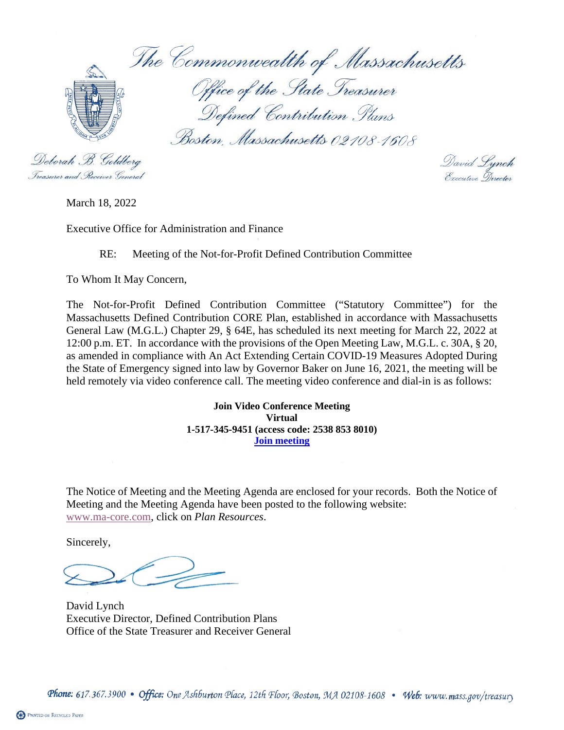The Commonwealth of Massachusetts Office of the State Treasurer Defined Contribution Plans Boston, Massachusetts 02108-1608

Deborah B. Goldberg Treasurer and Receiver General

David Lynch<br>Executive Director

March 18, 2022

Executive Office for Administration and Finance

## RE: Meeting of the Not-for-Profit Defined Contribution Committee

To Whom It May Concern,

The Not-for-Profit Defined Contribution Committee ("Statutory Committee") for the Massachusetts Defined Contribution CORE Plan, established in accordance with Massachusetts General Law (M.G.L.) Chapter 29, § 64E, has scheduled its next meeting for March 22, 2022 at 12:00 p.m. ET. In accordance with the provisions of the Open Meeting Law, M.G.L. c. 30A, § 20, as amended in compliance with An Act Extending Certain COVID-19 Measures Adopted During the State of Emergency signed into law by Governor Baker on June 16, 2021, the meeting will be held remotely via video conference call. The meeting video conference and dial-in is as follows:

> **Join Video Conference Meeting Virtual 1-517-345-9451 (access code: 2538 853 8010) [Join meeting](https://aon.webex.com/aon/j.php?MTID=mcee70e74fdf5e02551af814e04855453)**

The Notice of Meeting and the Meeting Agenda are enclosed for your records. Both the Notice of Meeting and the Meeting Agenda have been posted to the following website: [www.ma-core.com,](http://www.ma-core.com/) click on *Plan Resources*.

Sincerely,

David Lynch Executive Director, Defined Contribution Plans Office of the State Treasurer and Receiver General

Phone: 617.367.3900 • Office: One Ashburton Place, 12th Floor, Boston, MA 02108-1608 • Web: www.mass.gov/treasury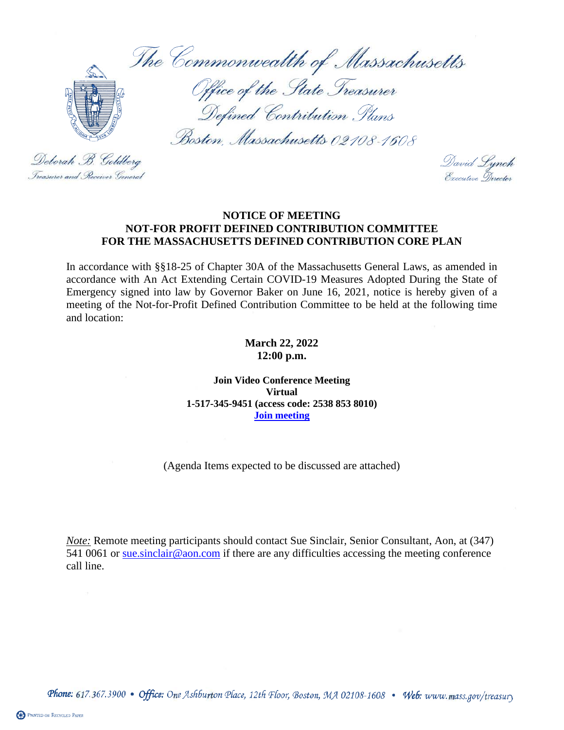The Commonwealth of Massachusetts



Office of the State Treasurer Defined Contribution Plans

Boston, Massachusetts 02108-1608

Deborah B. Goldberg Treasurer and Receiver General

David Lynch<br>Executive Director

## **NOTICE OF MEETING NOT-FOR PROFIT DEFINED CONTRIBUTION COMMITTEE FOR THE MASSACHUSETTS DEFINED CONTRIBUTION CORE PLAN**

In accordance with §§18-25 of Chapter 30A of the Massachusetts General Laws, as amended in accordance with An Act Extending Certain COVID-19 Measures Adopted During the State of Emergency signed into law by Governor Baker on June 16, 2021, notice is hereby given of a meeting of the Not-for-Profit Defined Contribution Committee to be held at the following time and location:

> **March 22, 2022 12:00 p.m.**

**Join Video Conference Meeting Virtual 1-517-345-9451 (access code: 2538 853 8010) [Join meeting](https://aon.webex.com/aon/j.php?MTID=mcee70e74fdf5e02551af814e04855453)**

(Agenda Items expected to be discussed are attached)

*Note:* Remote meeting participants should contact Sue Sinclair, Senior Consultant, Aon, at (347) 541 0061 or [sue.sinclair@aon.com](mailto:sue.sinclair@aon.com) if there are any difficulties accessing the meeting conference call line.